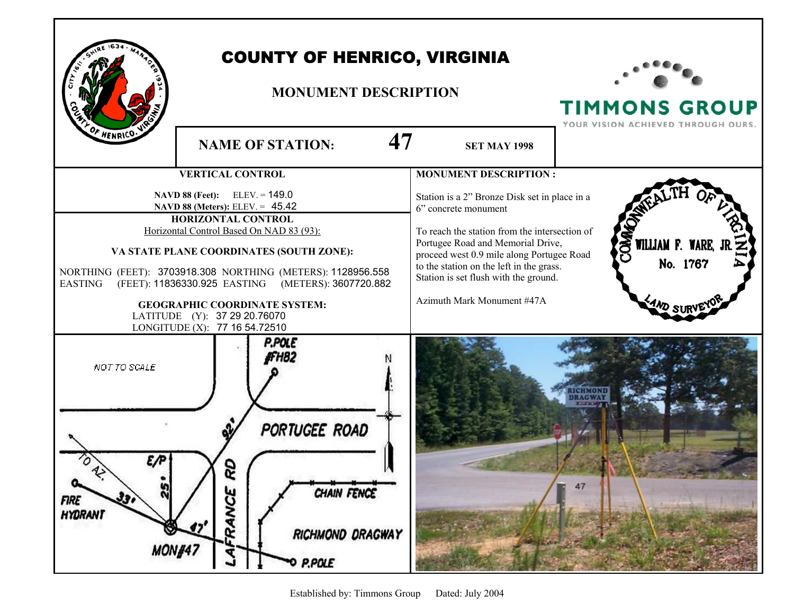